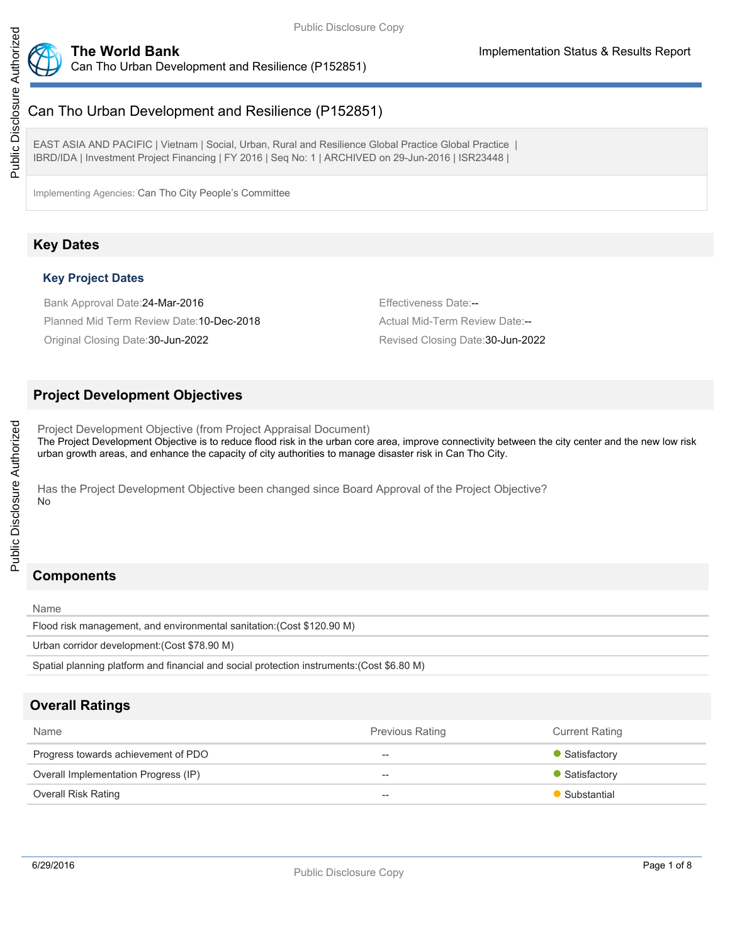

# Can Tho Urban Development and Resilience (P152851)

EAST ASIA AND PACIFIC | Vietnam | Social, Urban, Rural and Resilience Global Practice Global Practice | IBRD/IDA | Investment Project Financing | FY 2016 | Seq No: 1 | ARCHIVED on 29-Jun-2016 | ISR23448 |

Implementing Agencies: Can Tho City People's Committee

## **Key Dates**

### **Key Project Dates**

Bank Approval Date: 24-Mar-2016 **Effectiveness Date:**--Planned Mid Term Review Date:10-Dec-2018 Actual Mid-Term Review Date:--

Original Closing Date:30-Jun-2022 Revised Closing Date:30-Jun-2022

## **Project Development Objectives**

Project Development Objective (from Project Appraisal Document) The Project Development Objective is to reduce flood risk in the urban core area, improve connectivity between the city center and the new low risk urban growth areas, and enhance the capacity of city authorities to manage disaster risk in Can Tho City.

Has the Project Development Objective been changed since Board Approval of the Project Objective? No

# **Components**

Name

Flood risk management, and environmental sanitation:(Cost \$120.90 M) Urban corridor development:(Cost \$78.90 M) Spatial planning platform and financial and social protection instruments:(Cost \$6.80 M)

## **Overall Ratings**

| Name                                 | <b>Previous Rating</b> | <b>Current Rating</b> |
|--------------------------------------|------------------------|-----------------------|
| Progress towards achievement of PDO  | $- -$                  | • Satisfactory        |
| Overall Implementation Progress (IP) | $- -$                  | • Satisfactory        |
| Overall Risk Rating                  | $- -$                  | Substantial           |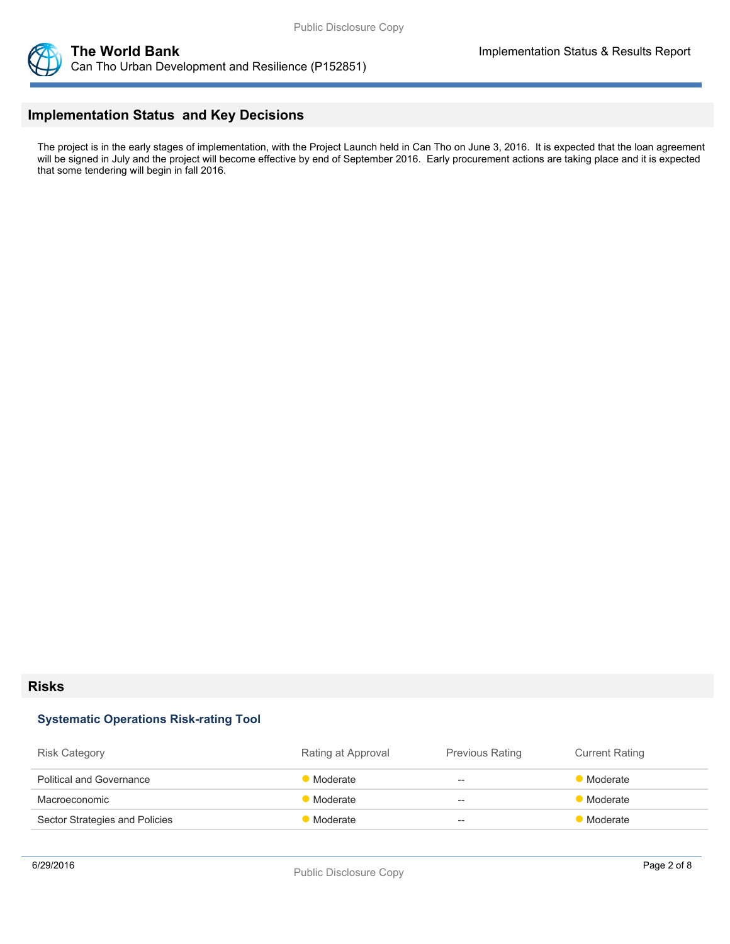



## **Implementation Status and Key Decisions**

The project is in the early stages of implementation, with the Project Launch held in Can Tho on June 3, 2016. It is expected that the loan agreement will be signed in July and the project will become effective by end of September 2016. Early procurement actions are taking place and it is expected that some tendering will begin in fall 2016.

### **Risks**

### **Systematic Operations Risk-rating Tool**

| <b>Risk Category</b>            | Rating at Approval | <b>Previous Rating</b> | <b>Current Rating</b> |
|---------------------------------|--------------------|------------------------|-----------------------|
| <b>Political and Governance</b> | Moderate           | --                     | Moderate              |
| Macroeconomic                   | Moderate           | $- -$                  | Moderate              |
| Sector Strategies and Policies  | Moderate           | $- -$                  | Moderate              |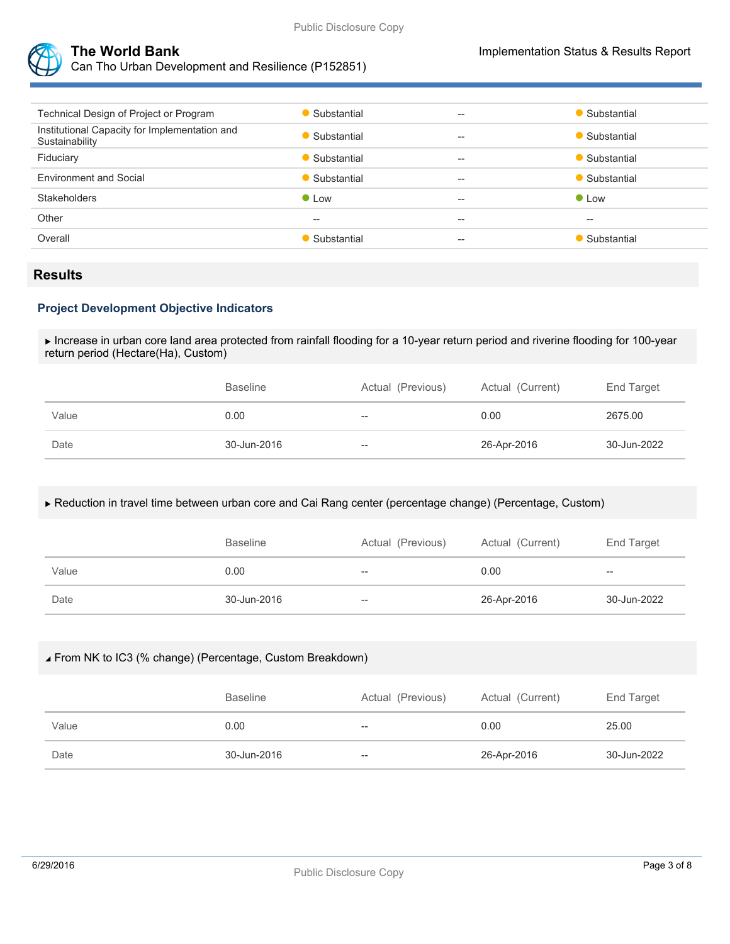



### **The World Bank Implementation Status & Results Report** Can Tho Urban Development and Resilience (P152851)

| Technical Design of Project or Program                          | • Substantial | $-$ | Substantial   |
|-----------------------------------------------------------------|---------------|-----|---------------|
| Institutional Capacity for Implementation and<br>Sustainability | • Substantial | $-$ | Substantial   |
| Fiduciary                                                       | • Substantial | $-$ | Substantial   |
| <b>Environment and Social</b>                                   | • Substantial | $-$ | Substantial   |
| <b>Stakeholders</b>                                             | $\bullet$ Low | $-$ | $\bullet$ Low |
| Other                                                           | $- -$         | $-$ | $- -$         |
| Overall                                                         | • Substantial | $-$ | Substantial   |
|                                                                 |               |     |               |

## **Results**

### **Project Development Objective Indicators**

 Increase in urban core land area protected from rainfall flooding for a 10-year return period and riverine flooding for 100-year return period (Hectare(Ha), Custom)

|       | <b>Baseline</b> | Actual (Previous)                              | Actual (Current) | End Target  |
|-------|-----------------|------------------------------------------------|------------------|-------------|
| Value | 0.00            | $\hspace{0.1mm}-\hspace{0.1mm}-\hspace{0.1mm}$ | 0.00             | 2675.00     |
| Date  | 30-Jun-2016     | $--$                                           | 26-Apr-2016      | 30-Jun-2022 |

### Reduction in travel time between urban core and Cai Rang center (percentage change) (Percentage, Custom)

|       | <b>Baseline</b> | Actual (Previous)                     | Actual (Current) | End Target  |
|-------|-----------------|---------------------------------------|------------------|-------------|
| Value | 0.00            | $- -$                                 | 0.00             | $- -$       |
| Date  | 30-Jun-2016     | $\hspace{0.05cm}$ – $\hspace{0.05cm}$ | 26-Apr-2016      | 30-Jun-2022 |

### From NK to IC3 (% change) (Percentage, Custom Breakdown)

|       | <b>Baseline</b> | Actual (Previous) | Actual (Current) | End Target  |
|-------|-----------------|-------------------|------------------|-------------|
| Value | 0.00            | $- -$             | 0.00             | 25.00       |
| Date  | 30-Jun-2016     | $-\!$             | 26-Apr-2016      | 30-Jun-2022 |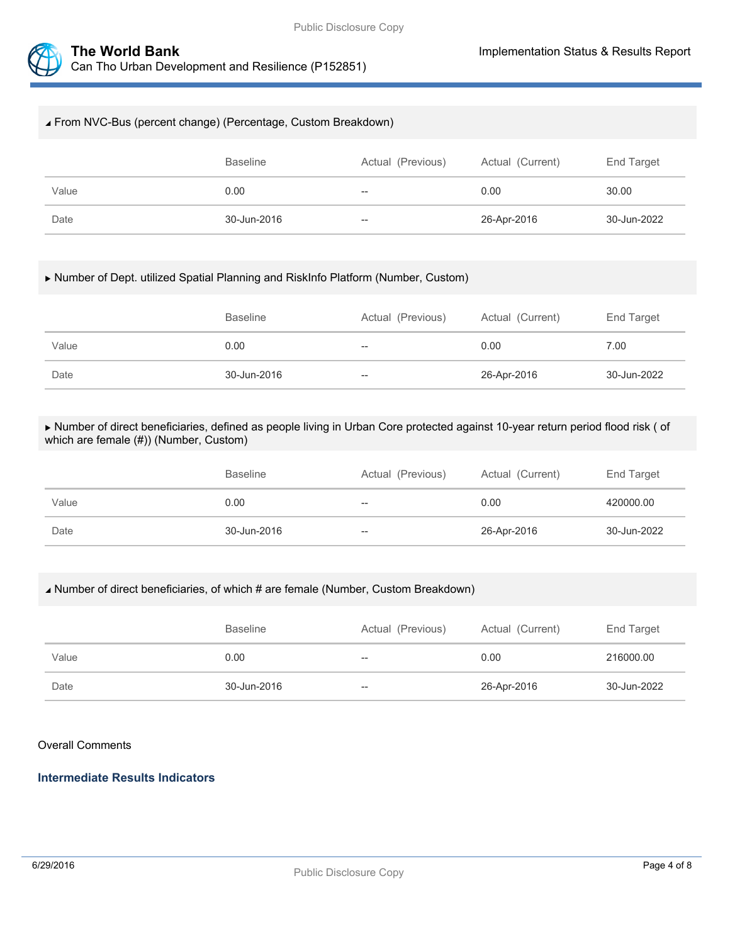



### From NVC-Bus (percent change) (Percentage, Custom Breakdown)

|       | Baseline    | Actual (Previous) | Actual (Current) | End Target  |
|-------|-------------|-------------------|------------------|-------------|
| Value | 0.00        | --                | 0.00             | 30.00       |
| Date  | 30-Jun-2016 | $- -$             | 26-Apr-2016      | 30-Jun-2022 |

### Number of Dept. utilized Spatial Planning and RiskInfo Platform (Number, Custom)

|       | <b>Baseline</b> | Actual (Previous) | Actual (Current) | End Target  |
|-------|-----------------|-------------------|------------------|-------------|
| Value | 0.00            | $- -$             | 0.00             | 7.00        |
| Date  | 30-Jun-2016     | $- -$             | 26-Apr-2016      | 30-Jun-2022 |

### Number of direct beneficiaries, defined as people living in Urban Core protected against 10-year return period flood risk ( of which are female (#)) (Number, Custom)

|       | <b>Baseline</b> | Actual (Previous) | Actual (Current) | End Target  |
|-------|-----------------|-------------------|------------------|-------------|
| Value | 0.00            | $- -$             | 0.00             | 420000.00   |
| Date  | 30-Jun-2016     | $- -$             | 26-Apr-2016      | 30-Jun-2022 |

### Number of direct beneficiaries, of which # are female (Number, Custom Breakdown)

|       | <b>Baseline</b> | Actual (Previous) | Actual (Current) | End Target  |
|-------|-----------------|-------------------|------------------|-------------|
| Value | 0.00            | $- -$             | 0.00             | 216000.00   |
| Date  | 30-Jun-2016     | $\hspace{0.05cm}$ | 26-Apr-2016      | 30-Jun-2022 |

### Overall Comments

### **Intermediate Results Indicators**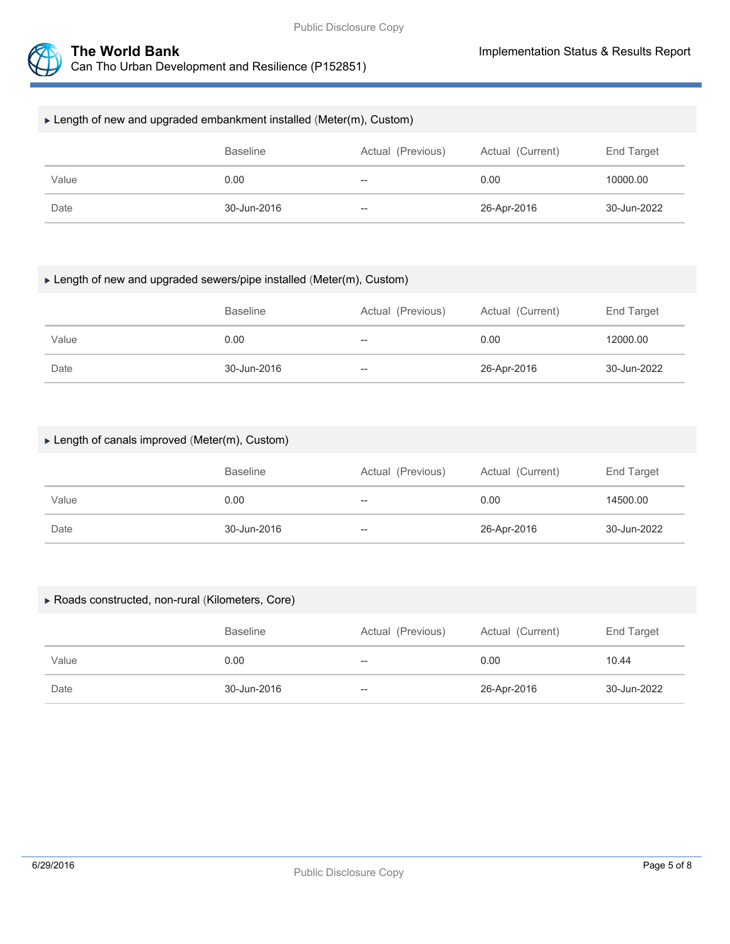

# ► Length of new and upgraded embankment installed (Meter(m), Custom) Baseline **Actual (Previous)** Actual (Current) End Target Value 0.00 -- 0.00 10000.00 Date 30-Jun-2016 -- 26-Apr-2016 30-Jun-2022

### Length of new and upgraded sewers/pipe installed (Meter(m), Custom)

|       | <b>Baseline</b> | Actual (Previous)        | Actual (Current) | End Target  |
|-------|-----------------|--------------------------|------------------|-------------|
| Value | 0.00            | $- -$                    | 0.00             | 12000.00    |
| Date  | 30-Jun-2016     | $\overline{\phantom{m}}$ | 26-Apr-2016      | 30-Jun-2022 |

### ► Length of canals improved (Meter(m), Custom)

|       | <b>Baseline</b> | Actual (Previous)                     | Actual (Current) | End Target  |
|-------|-----------------|---------------------------------------|------------------|-------------|
| Value | 0.00            | $\hspace{0.05cm}$ – $\hspace{0.05cm}$ | 0.00             | 14500.00    |
| Date  | 30-Jun-2016     | --                                    | 26-Apr-2016      | 30-Jun-2022 |

### Roads constructed, non-rural (Kilometers, Core)

|       | <b>Baseline</b> | Actual (Previous) | Actual (Current) | End Target  |
|-------|-----------------|-------------------|------------------|-------------|
| Value | 0.00            | --                | 0.00             | 10.44       |
| Date  | 30-Jun-2016     | $-\!$             | 26-Apr-2016      | 30-Jun-2022 |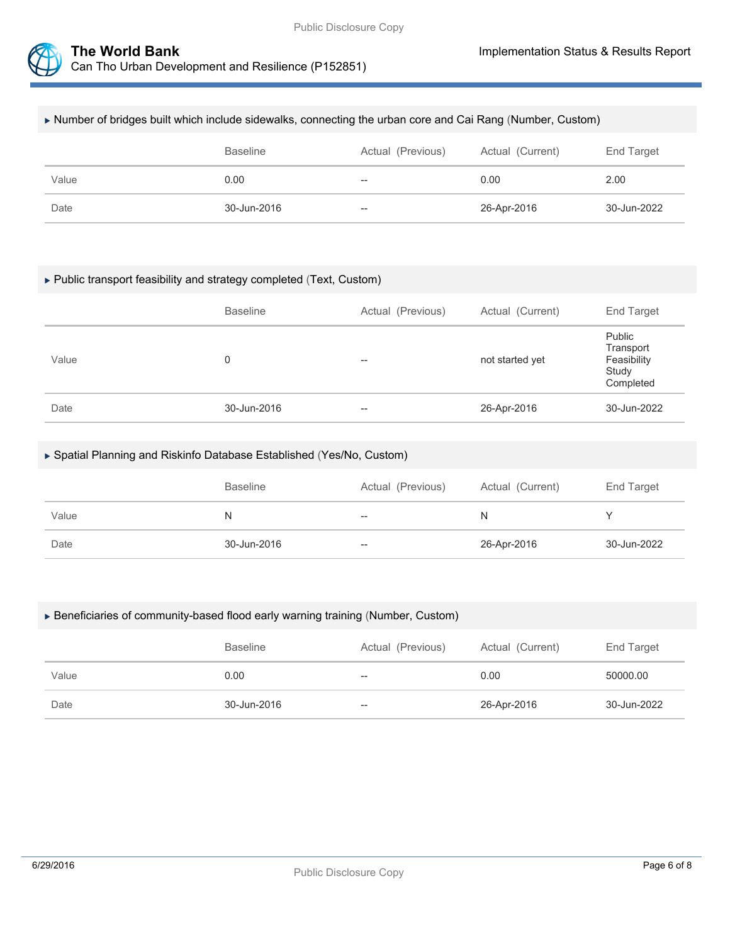



### Number of bridges built which include sidewalks, connecting the urban core and Cai Rang (Number, Custom)

|       | <b>Baseline</b> | Actual (Previous) | Actual (Current) | End Target  |
|-------|-----------------|-------------------|------------------|-------------|
| Value | 0.00            | $- -$             | 0.00             | 2.00        |
| Date  | 30-Jun-2016     | $- -$             | 26-Apr-2016      | 30-Jun-2022 |

### Public transport feasibility and strategy completed (Text, Custom)

|       | <b>Baseline</b> | Actual (Previous) | Actual (Current) | End Target                                               |
|-------|-----------------|-------------------|------------------|----------------------------------------------------------|
| Value |                 | $- -$             | not started yet  | Public<br>Transport<br>Feasibility<br>Study<br>Completed |
| Date  | 30-Jun-2016     | $- -$             | 26-Apr-2016      | 30-Jun-2022                                              |

### Spatial Planning and Riskinfo Database Established (Yes/No, Custom)

|       | <b>Baseline</b> | Actual (Previous) | Actual (Current) | End Target  |
|-------|-----------------|-------------------|------------------|-------------|
| Value | N               | $- -$             | N                |             |
| Date  | 30-Jun-2016     | $- -$             | 26-Apr-2016      | 30-Jun-2022 |

### Beneficiaries of community-based flood early warning training (Number, Custom)

|       | <b>Baseline</b> | Actual (Previous) | Actual (Current) | End Target  |
|-------|-----------------|-------------------|------------------|-------------|
| Value | 0.00            | $- -$             | 0.00             | 50000.00    |
| Date  | 30-Jun-2016     | $- -$             | 26-Apr-2016      | 30-Jun-2022 |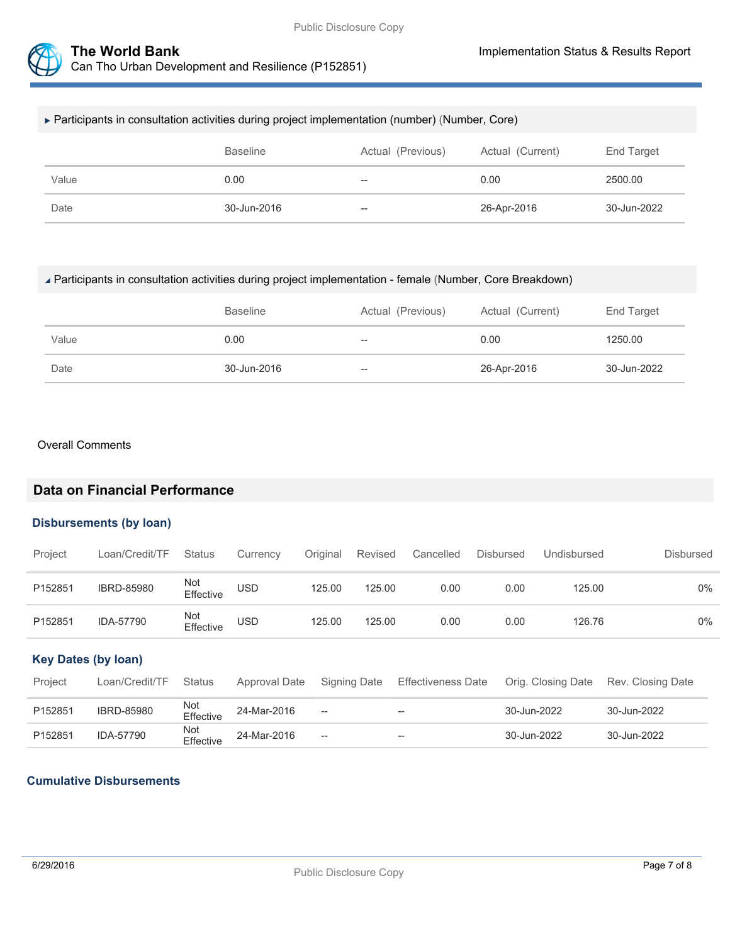

### Participants in consultation activities during project implementation (number) (Number, Core)

|       | <b>Baseline</b> | Actual (Previous)                                   | Actual (Current) | End Target  |
|-------|-----------------|-----------------------------------------------------|------------------|-------------|
| Value | 0.00            | $- -$                                               | 0.00             | 2500.00     |
| Date  | 30-Jun-2016     | $\hspace{0.05cm} -\hspace{0.05cm} -\hspace{0.05cm}$ | 26-Apr-2016      | 30-Jun-2022 |

### Participants in consultation activities during project implementation - female (Number, Core Breakdown)

|       | <b>Baseline</b> | Actual (Previous)        | Actual (Current) | End Target  |
|-------|-----------------|--------------------------|------------------|-------------|
| Value | 0.00            | $- -$                    | 0.00             | 1250.00     |
| Date  | 30-Jun-2016     | $\overline{\phantom{a}}$ | 26-Apr-2016      | 30-Jun-2022 |

### Overall Comments

## **Data on Financial Performance**

### **Disbursements (by loan)**

| Project | Loan/Credit/TF    | <b>Status</b>    | Currency   | Original | Revised | Cancelled | Disbursed | Undisbursed | <b>Disbursed</b> |
|---------|-------------------|------------------|------------|----------|---------|-----------|-----------|-------------|------------------|
| P152851 | <b>IBRD-85980</b> | Not<br>Effective | <b>USD</b> | 125.00   | 125.00  | 0.00      | 0.00      | 125.00      | $0\%$            |
| P152851 | IDA-57790         | Not<br>Effective | <b>USD</b> | 125.00   | 125.00  | 0.00      | 0.00      | 126.76      | $0\%$            |

## **Key Dates (by loan)**

| Project | Loan/Credit/TF    | <b>Status</b>    | Approval Date | Signing Date             | <b>Effectiveness Date</b> | Orig. Closing Date Rev. Closing Date |             |
|---------|-------------------|------------------|---------------|--------------------------|---------------------------|--------------------------------------|-------------|
| P152851 | <b>IBRD-85980</b> | Not<br>Effective | 24-Mar-2016   | $\overline{\phantom{a}}$ | $-$                       | 30-Jun-2022                          | 30-Jun-2022 |
| P152851 | IDA-57790         | Not<br>Effective | 24-Mar-2016   | $\overline{\phantom{a}}$ | --                        | 30-Jun-2022                          | 30-Jun-2022 |

### **Cumulative Disbursements**